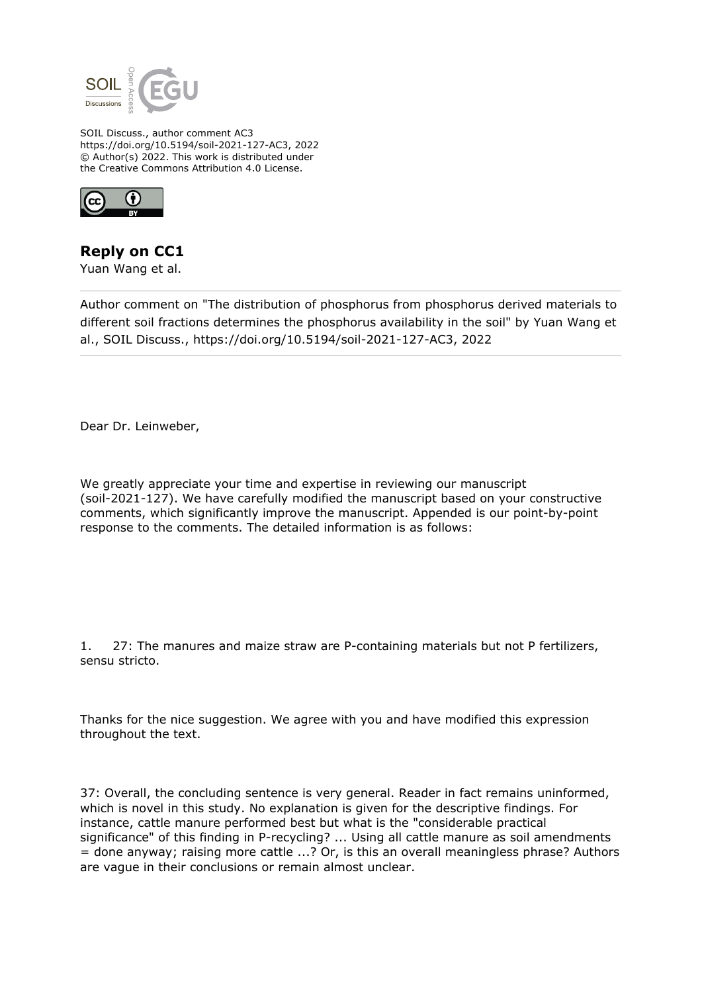

SOIL Discuss., author comment AC3 https://doi.org/10.5194/soil-2021-127-AC3, 2022 © Author(s) 2022. This work is distributed under the Creative Commons Attribution 4.0 License.



**Reply on CC1**

Yuan Wang et al.

Author comment on "The distribution of phosphorus from phosphorus derived materials to different soil fractions determines the phosphorus availability in the soil" by Yuan Wang et al., SOIL Discuss., https://doi.org/10.5194/soil-2021-127-AC3, 2022

Dear Dr. Leinweber,

We greatly appreciate your time and expertise in reviewing our manuscript (soil-2021-127). We have carefully modified the manuscript based on your constructive comments, which significantly improve the manuscript. Appended is our point-by-point response to the comments. The detailed information is as follows:

1. 27: The manures and maize straw are P-containing materials but not P fertilizers, sensu stricto.

Thanks for the nice suggestion. We agree with you and have modified this expression throughout the text.

37: Overall, the concluding sentence is very general. Reader in fact remains uninformed, which is novel in this study. No explanation is given for the descriptive findings. For instance, cattle manure performed best but what is the "considerable practical significance" of this finding in P-recycling? ... Using all cattle manure as soil amendments = done anyway; raising more cattle ...? Or, is this an overall meaningless phrase? Authors are vague in their conclusions or remain almost unclear.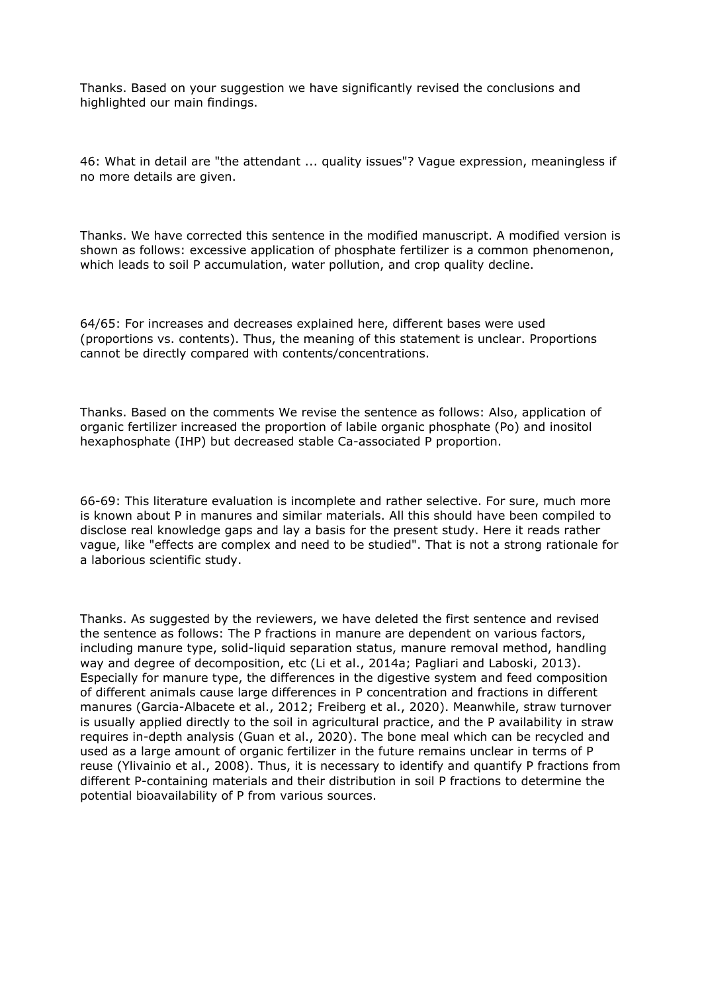Thanks. Based on your suggestion we have significantly revised the conclusions and highlighted our main findings.

46: What in detail are "the attendant ... quality issues"? Vague expression, meaningless if no more details are given.

Thanks. We have corrected this sentence in the modified manuscript. A modified version is shown as follows: excessive application of phosphate fertilizer is a common phenomenon, which leads to soil P accumulation, water pollution, and crop quality decline.

64/65: For increases and decreases explained here, different bases were used (proportions vs. contents). Thus, the meaning of this statement is unclear. Proportions cannot be directly compared with contents/concentrations.

Thanks. Based on the comments We revise the sentence as follows: Also, application of organic fertilizer increased the proportion of labile organic phosphate (Po) and inositol hexaphosphate (IHP) but decreased stable Ca-associated P proportion.

66-69: This literature evaluation is incomplete and rather selective. For sure, much more is known about P in manures and similar materials. All this should have been compiled to disclose real knowledge gaps and lay a basis for the present study. Here it reads rather vague, like "effects are complex and need to be studied". That is not a strong rationale for a laborious scientific study.

Thanks. As suggested by the reviewers, we have deleted the first sentence and revised the sentence as follows: The P fractions in manure are dependent on various factors, including manure type, solid-liquid separation status, manure removal method, handling way and degree of decomposition, etc (Li et al., 2014a; Pagliari and Laboski, 2013). Especially for manure type, the differences in the digestive system and feed composition of different animals cause large differences in P concentration and fractions in different manures (Garcia-Albacete et al., 2012; Freiberg et al., 2020). Meanwhile, straw turnover is usually applied directly to the soil in agricultural practice, and the P availability in straw requires in-depth analysis (Guan et al., 2020). The bone meal which can be recycled and used as a large amount of organic fertilizer in the future remains unclear in terms of P reuse (Ylivainio et al., 2008). Thus, it is necessary to identify and quantify P fractions from different P-containing materials and their distribution in soil P fractions to determine the potential bioavailability of P from various sources.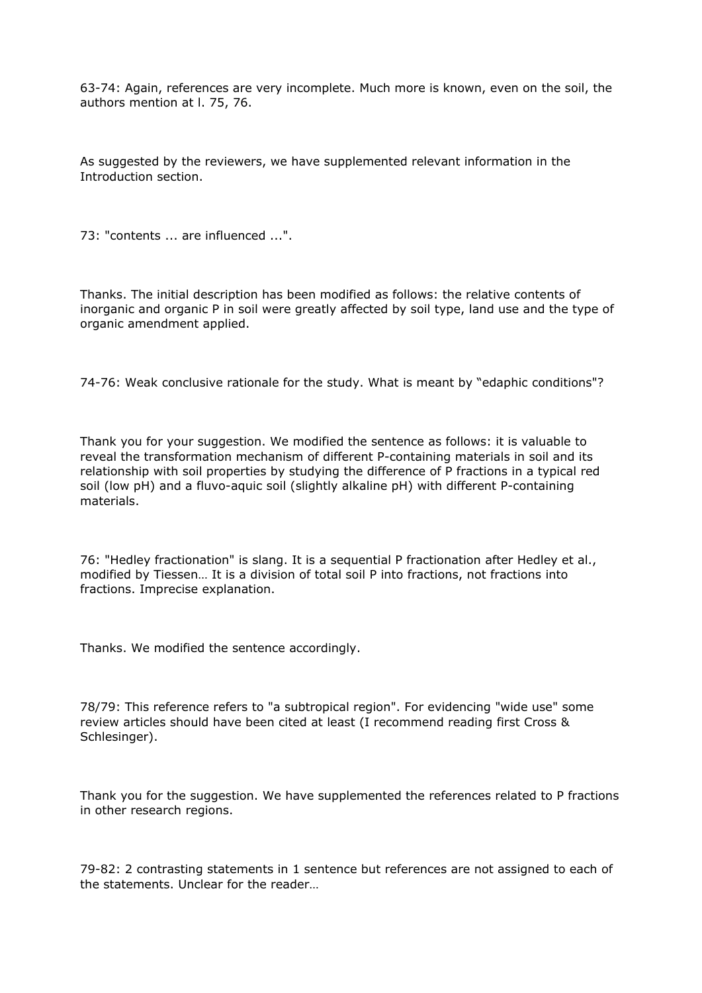63-74: Again, references are very incomplete. Much more is known, even on the soil, the authors mention at l. 75, 76.

As suggested by the reviewers, we have supplemented relevant information in the Introduction section.

73: "contents ... are influenced ...".

Thanks. The initial description has been modified as follows: the relative contents of inorganic and organic P in soil were greatly affected by soil type, land use and the type of organic amendment applied.

74-76: Weak conclusive rationale for the study. What is meant by "edaphic conditions"?

Thank you for your suggestion. We modified the sentence as follows: it is valuable to reveal the transformation mechanism of different P-containing materials in soil and its relationship with soil properties by studying the difference of P fractions in a typical red soil (low pH) and a fluvo-aquic soil (slightly alkaline pH) with different P-containing materials.

76: "Hedley fractionation" is slang. It is a sequential P fractionation after Hedley et al., modified by Tiessen… It is a division of total soil P into fractions, not fractions into fractions. Imprecise explanation.

Thanks. We modified the sentence accordingly.

78/79: This reference refers to "a subtropical region". For evidencing "wide use" some review articles should have been cited at least (I recommend reading first Cross & Schlesinger).

Thank you for the suggestion. We have supplemented the references related to P fractions in other research regions.

79-82: 2 contrasting statements in 1 sentence but references are not assigned to each of the statements. Unclear for the reader…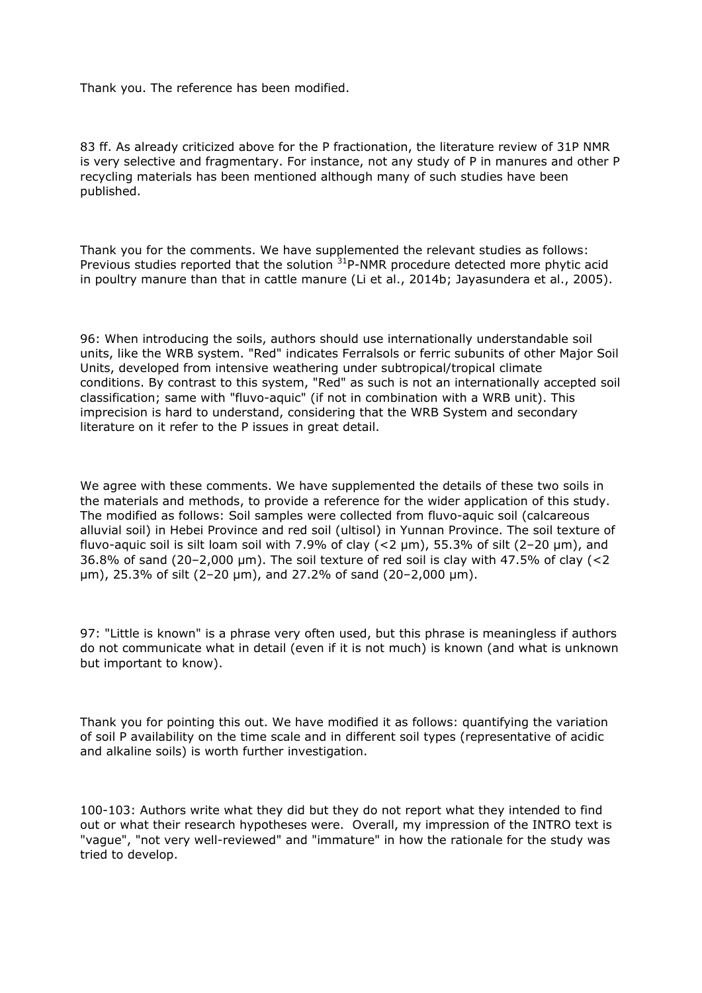Thank you. The reference has been modified.

83 ff. As already criticized above for the P fractionation, the literature review of 31P NMR is very selective and fragmentary. For instance, not any study of P in manures and other P recycling materials has been mentioned although many of such studies have been published.

Thank you for the comments. We have supplemented the relevant studies as follows: Previous studies reported that the solution  $31P-NMR$  procedure detected more phytic acid in poultry manure than that in cattle manure (Li et al., 2014b; Jayasundera et al., 2005).

96: When introducing the soils, authors should use internationally understandable soil units, like the WRB system. "Red" indicates Ferralsols or ferric subunits of other Major Soil Units, developed from intensive weathering under subtropical/tropical climate conditions. By contrast to this system, "Red" as such is not an internationally accepted soil classification; same with "fluvo-aquic" (if not in combination with a WRB unit). This imprecision is hard to understand, considering that the WRB System and secondary literature on it refer to the P issues in great detail.

We agree with these comments. We have supplemented the details of these two soils in the materials and methods, to provide a reference for the wider application of this study. The modified as follows: Soil samples were collected from fluvo-aquic soil (calcareous alluvial soil) in Hebei Province and red soil (ultisol) in Yunnan Province. The soil texture of fluvo-aquic soil is silt loam soil with 7.9% of clay  $(<$ 2  $\mu$ m), 55.3% of silt  $(2-20 \mu m)$ , and 36.8% of sand (20–2,000 μm). The soil texture of red soil is clay with 47.5% of clay (<2 μm), 25.3% of silt (2–20 μm), and 27.2% of sand (20–2,000 μm).

97: "Little is known" is a phrase very often used, but this phrase is meaningless if authors do not communicate what in detail (even if it is not much) is known (and what is unknown but important to know).

Thank you for pointing this out. We have modified it as follows: quantifying the variation of soil P availability on the time scale and in different soil types (representative of acidic and alkaline soils) is worth further investigation.

100-103: Authors write what they did but they do not report what they intended to find out or what their research hypotheses were. Overall, my impression of the INTRO text is "vague", "not very well-reviewed" and "immature" in how the rationale for the study was tried to develop.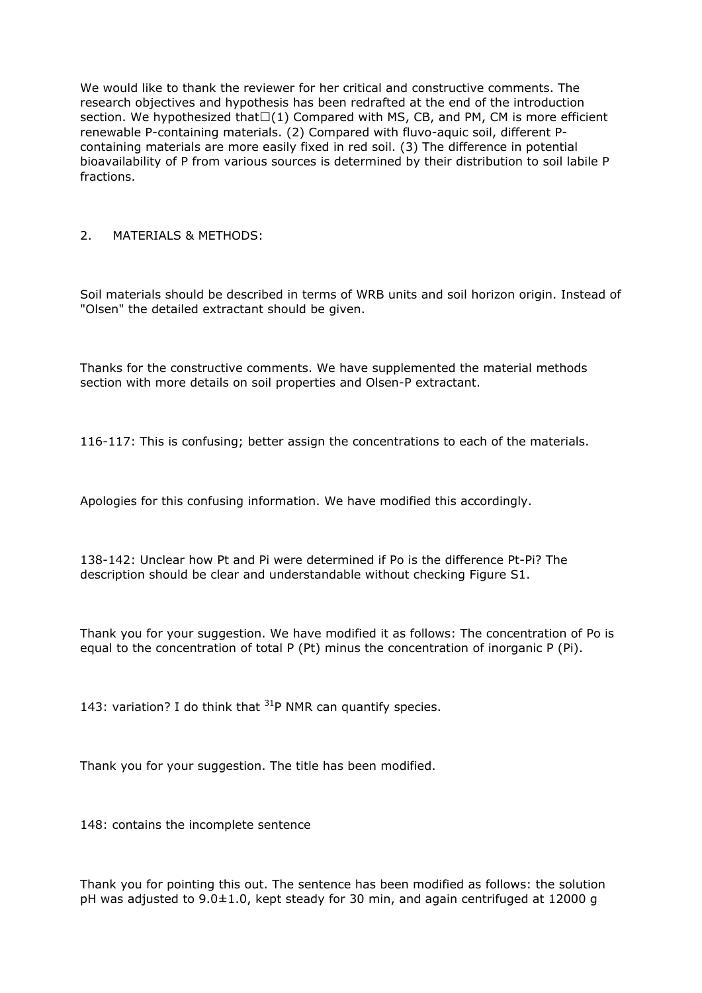We would like to thank the reviewer for her critical and constructive comments. The research objectives and hypothesis has been redrafted at the end of the introduction section. We hypothesized that $\square(1)$  Compared with MS, CB, and PM, CM is more efficient renewable P-containing materials. (2) Compared with fluvo-aquic soil, different Pcontaining materials are more easily fixed in red soil. (3) The difference in potential bioavailability of P from various sources is determined by their distribution to soil labile P fractions.

## 2. MATERIALS & METHODS:

Soil materials should be described in terms of WRB units and soil horizon origin. Instead of "Olsen" the detailed extractant should be given.

Thanks for the constructive comments. We have supplemented the material methods section with more details on soil properties and Olsen-P extractant.

116-117: This is confusing; better assign the concentrations to each of the materials.

Apologies for this confusing information. We have modified this accordingly.

138-142: Unclear how Pt and Pi were determined if Po is the difference Pt-Pi? The description should be clear and understandable without checking Figure S1.

Thank you for your suggestion. We have modified it as follows: The concentration of Po is equal to the concentration of total P (Pt) minus the concentration of inorganic P (Pi).

143: variation? I do think that  $31P$  NMR can quantify species.

Thank you for your suggestion. The title has been modified.

148: contains the incomplete sentence

Thank you for pointing this out. The sentence has been modified as follows: the solution pH was adjusted to 9.0±1.0, kept steady for 30 min, and again centrifuged at 12000 g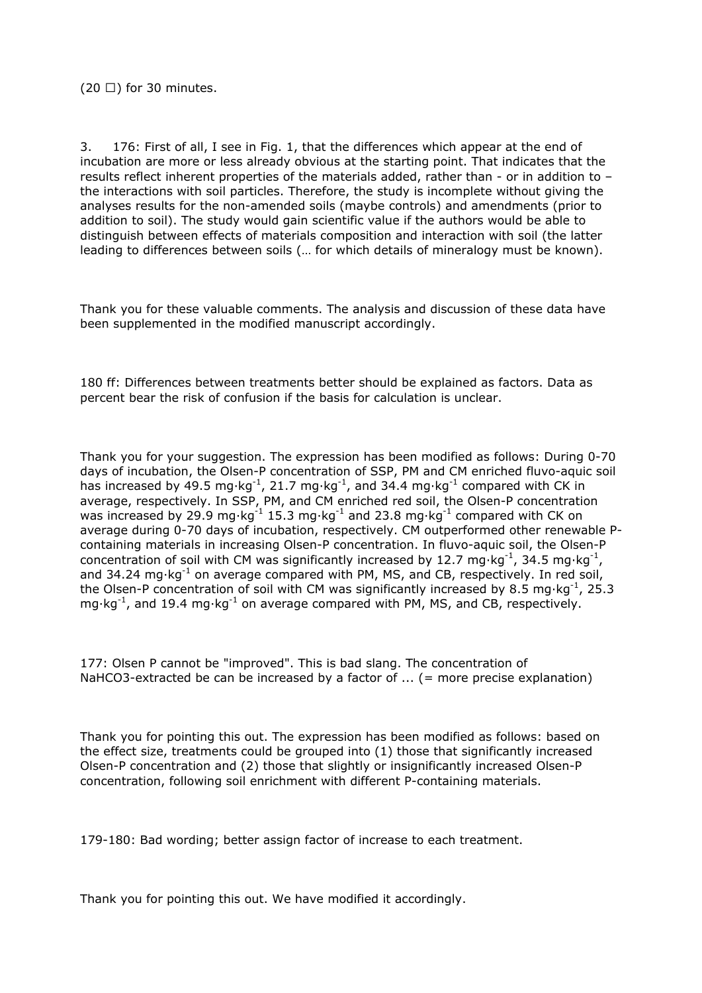3. 176: First of all, I see in Fig. 1, that the differences which appear at the end of incubation are more or less already obvious at the starting point. That indicates that the results reflect inherent properties of the materials added, rather than - or in addition to – the interactions with soil particles. Therefore, the study is incomplete without giving the analyses results for the non-amended soils (maybe controls) and amendments (prior to addition to soil). The study would gain scientific value if the authors would be able to distinguish between effects of materials composition and interaction with soil (the latter leading to differences between soils (… for which details of mineralogy must be known).

Thank you for these valuable comments. The analysis and discussion of these data have been supplemented in the modified manuscript accordingly.

180 ff: Differences between treatments better should be explained as factors. Data as percent bear the risk of confusion if the basis for calculation is unclear.

Thank you for your suggestion. The expression has been modified as follows: During 0-70 days of incubation, the Olsen-P concentration of SSP, PM and CM enriched fluvo-aquic soil has increased by 49.5 mg·kg<sup>-1</sup>, 21.7 mg·kg<sup>-1</sup>, and 34.4 mg·kg<sup>-1</sup> compared with CK in average, respectively. In SSP, PM, and CM enriched red soil, the Olsen-P concentration was increased by 29.9 mg·kg<sup>-1</sup> 15.3 mg·kg<sup>-1</sup> and 23.8 mg·kg<sup>-1</sup> compared with CK on average during 0-70 days of incubation, respectively. CM outperformed other renewable Pcontaining materials in increasing Olsen-P concentration. In fluvo-aquic soil, the Olsen-P concentration of soil with CM was significantly increased by 12.7 mg·kg<sup>-1</sup>, 34.5 mg·kg<sup>-1</sup>, and  $34.24$  mg $\cdot$ kg<sup>-1</sup> on average compared with PM, MS, and CB, respectively. In red soil, the Olsen-P concentration of soil with CM was significantly increased by 8.5 mg·kg<sup>-1</sup>, 25.3  $mg \cdot kg^{-1}$ , and 19.4 mg $\cdot kg^{-1}$  on average compared with PM, MS, and CB, respectively.

177: Olsen P cannot be "improved". This is bad slang. The concentration of NaHCO3-extracted be can be increased by a factor of ... (= more precise explanation)

Thank you for pointing this out. The expression has been modified as follows: based on the effect size, treatments could be grouped into (1) those that significantly increased Olsen-P concentration and (2) those that slightly or insignificantly increased Olsen-P concentration, following soil enrichment with different P-containing materials.

179-180: Bad wording; better assign factor of increase to each treatment.

Thank you for pointing this out. We have modified it accordingly.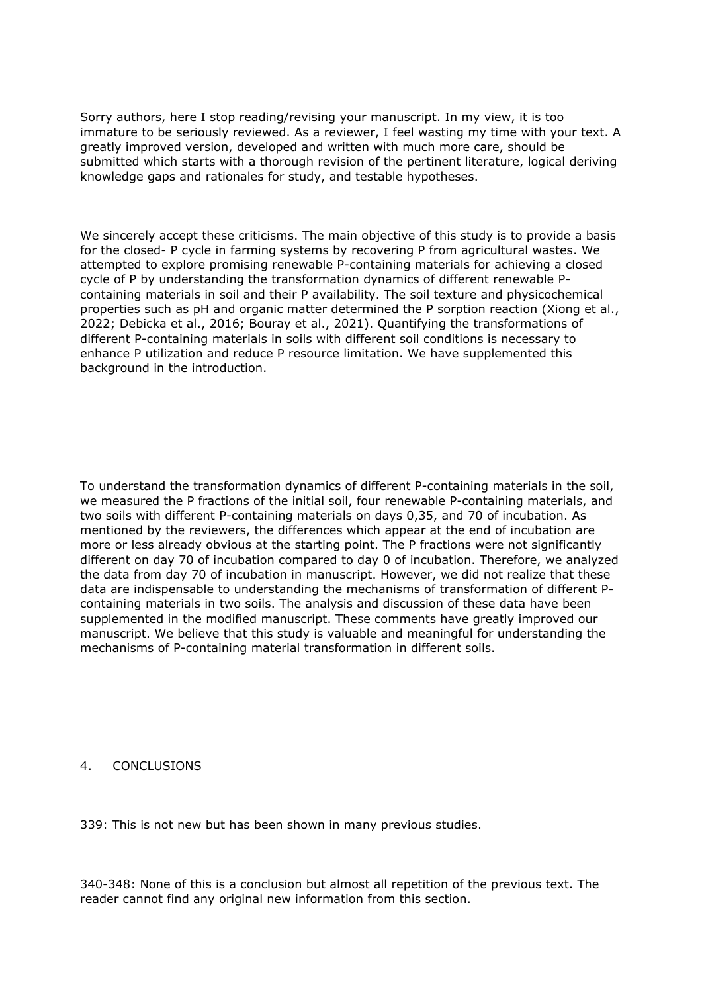Sorry authors, here I stop reading/revising your manuscript. In my view, it is too immature to be seriously reviewed. As a reviewer, I feel wasting my time with your text. A greatly improved version, developed and written with much more care, should be submitted which starts with a thorough revision of the pertinent literature, logical deriving knowledge gaps and rationales for study, and testable hypotheses.

We sincerely accept these criticisms. The main objective of this study is to provide a basis for the closed- P cycle in farming systems by recovering P from agricultural wastes. We attempted to explore promising renewable P-containing materials for achieving a closed cycle of P by understanding the transformation dynamics of different renewable Pcontaining materials in soil and their P availability. The soil texture and physicochemical properties such as pH and organic matter determined the P sorption reaction (Xiong et al., 2022; Debicka et al., 2016; Bouray et al., 2021). Quantifying the transformations of different P-containing materials in soils with different soil conditions is necessary to enhance P utilization and reduce P resource limitation. We have supplemented this background in the introduction.

To understand the transformation dynamics of different P-containing materials in the soil, we measured the P fractions of the initial soil, four renewable P-containing materials, and two soils with different P-containing materials on days 0,35, and 70 of incubation. As mentioned by the reviewers, the differences which appear at the end of incubation are more or less already obvious at the starting point. The P fractions were not significantly different on day 70 of incubation compared to day 0 of incubation. Therefore, we analyzed the data from day 70 of incubation in manuscript. However, we did not realize that these data are indispensable to understanding the mechanisms of transformation of different Pcontaining materials in two soils. The analysis and discussion of these data have been supplemented in the modified manuscript. These comments have greatly improved our manuscript. We believe that this study is valuable and meaningful for understanding the mechanisms of P-containing material transformation in different soils.

## 4. CONCLUSIONS

339: This is not new but has been shown in many previous studies.

340-348: None of this is a conclusion but almost all repetition of the previous text. The reader cannot find any original new information from this section.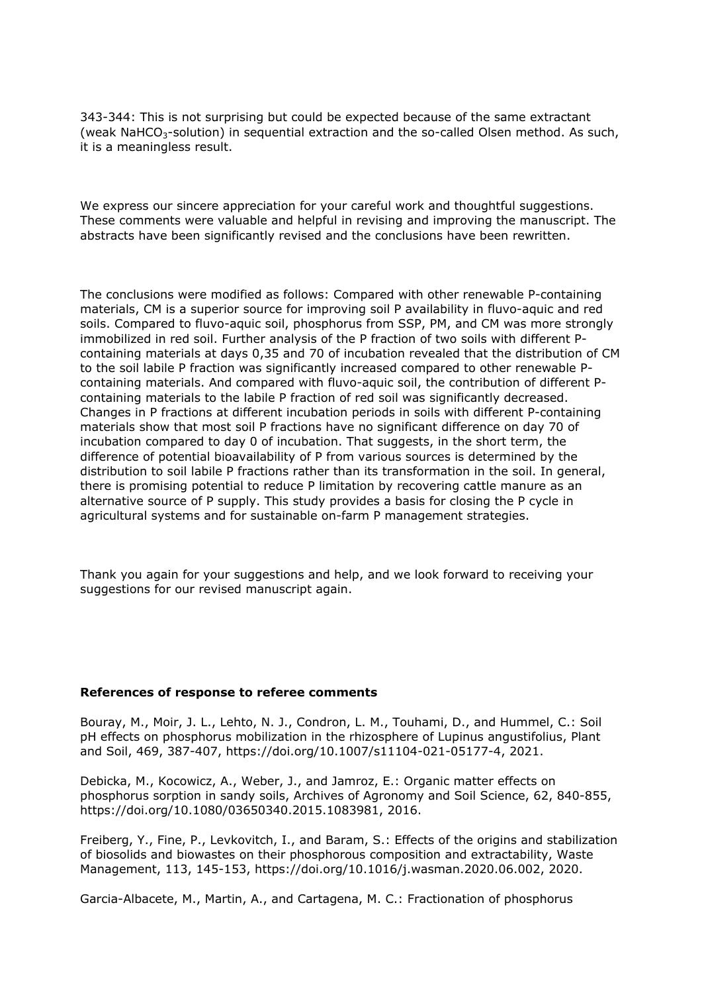343-344: This is not surprising but could be expected because of the same extractant (weak NaHCO<sub>3</sub>-solution) in sequential extraction and the so-called Olsen method. As such, it is a meaningless result.

We express our sincere appreciation for your careful work and thoughtful suggestions. These comments were valuable and helpful in revising and improving the manuscript. The abstracts have been significantly revised and the conclusions have been rewritten.

The conclusions were modified as follows: Compared with other renewable P-containing materials, CM is a superior source for improving soil P availability in fluvo-aquic and red soils. Compared to fluvo-aquic soil, phosphorus from SSP, PM, and CM was more strongly immobilized in red soil. Further analysis of the P fraction of two soils with different Pcontaining materials at days 0,35 and 70 of incubation revealed that the distribution of CM to the soil labile P fraction was significantly increased compared to other renewable Pcontaining materials. And compared with fluvo-aquic soil, the contribution of different Pcontaining materials to the labile P fraction of red soil was significantly decreased. Changes in P fractions at different incubation periods in soils with different P-containing materials show that most soil P fractions have no significant difference on day 70 of incubation compared to day 0 of incubation. That suggests, in the short term, the difference of potential bioavailability of P from various sources is determined by the distribution to soil labile P fractions rather than its transformation in the soil. In general, there is promising potential to reduce P limitation by recovering cattle manure as an alternative source of P supply. This study provides a basis for closing the P cycle in agricultural systems and for sustainable on-farm P management strategies.

Thank you again for your suggestions and help, and we look forward to receiving your suggestions for our revised manuscript again.

## **References of response to referee comments**

Bouray, M., Moir, J. L., Lehto, N. J., Condron, L. M., Touhami, D., and Hummel, C.: Soil pH effects on phosphorus mobilization in the rhizosphere of Lupinus angustifolius, Plant and Soil, 469, 387-407, https://doi.org/10.1007/s11104-021-05177-4, 2021.

Debicka, M., Kocowicz, A., Weber, J., and Jamroz, E.: Organic matter effects on phosphorus sorption in sandy soils, Archives of Agronomy and Soil Science, 62, 840-855, https://doi.org/10.1080/03650340.2015.1083981, 2016.

Freiberg, Y., Fine, P., Levkovitch, I., and Baram, S.: Effects of the origins and stabilization of biosolids and biowastes on their phosphorous composition and extractability, Waste Management, 113, 145-153, https://doi.org/10.1016/j.wasman.2020.06.002, 2020.

Garcia-Albacete, M., Martin, A., and Cartagena, M. C.: Fractionation of phosphorus